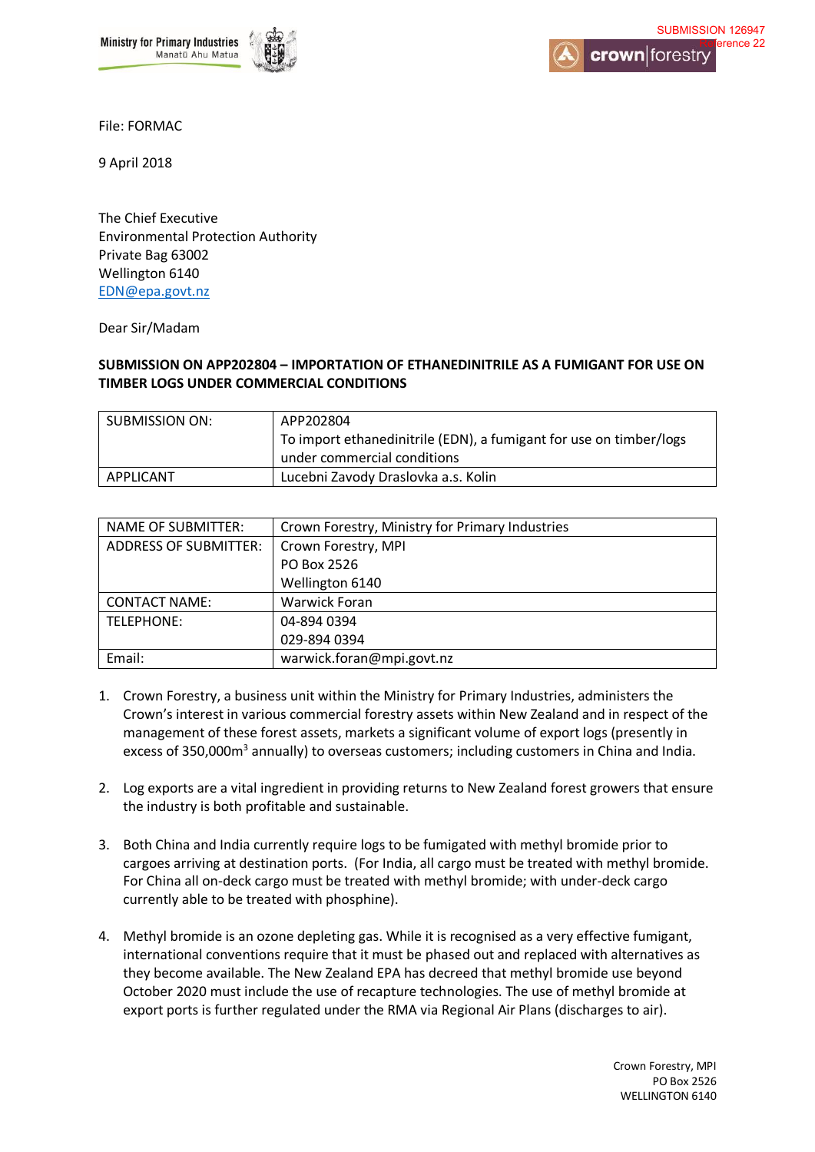



File: FORMAC

9 April 2018

The Chief Executive Environmental Protection Authority Private Bag 63002 Wellington 6140 [EDN@epa.govt.nz](mailto:EDN@epa.govt.nz) 

Dear Sir/Madam

## **SUBMISSION ON APP202804 – IMPORTATION OF ETHANEDINITRILE AS A FUMIGANT FOR USE ON TIMBER LOGS UNDER COMMERCIAL CONDITIONS**

| <b>SUBMISSION ON:</b> | APP202804                                                          |
|-----------------------|--------------------------------------------------------------------|
|                       | To import ethanedinitrile (EDN), a fumigant for use on timber/logs |
|                       | under commercial conditions                                        |
| APPLICANT             | Lucebni Zavody Draslovka a.s. Kolin                                |

| NAME OF SUBMITTER:           | Crown Forestry, Ministry for Primary Industries |
|------------------------------|-------------------------------------------------|
| <b>ADDRESS OF SUBMITTER:</b> | Crown Forestry, MPI                             |
|                              | PO Box 2526                                     |
|                              | Wellington 6140                                 |
| <b>CONTACT NAME:</b>         | <b>Warwick Foran</b>                            |
| TELEPHONE:                   | 04-894 0394                                     |
|                              | 029-894 0394                                    |
| Email:                       | warwick.foran@mpi.govt.nz                       |

- 1. Crown Forestry, a business unit within the Ministry for Primary Industries, administers the Crown's interest in various commercial forestry assets within New Zealand and in respect of the management of these forest assets, markets a significant volume of export logs (presently in excess of 350,000m<sup>3</sup> annually) to overseas customers; including customers in China and India.
- 2. Log exports are a vital ingredient in providing returns to New Zealand forest growers that ensure the industry is both profitable and sustainable.
- 3. Both China and India currently require logs to be fumigated with methyl bromide prior to cargoes arriving at destination ports. (For India, all cargo must be treated with methyl bromide. For China all on-deck cargo must be treated with methyl bromide; with under-deck cargo currently able to be treated with phosphine).
- 4. Methyl bromide is an ozone depleting gas. While it is recognised as a very effective fumigant, international conventions require that it must be phased out and replaced with alternatives as they become available. The New Zealand EPA has decreed that methyl bromide use beyond October 2020 must include the use of recapture technologies. The use of methyl bromide at export ports is further regulated under the RMA via Regional Air Plans (discharges to air).